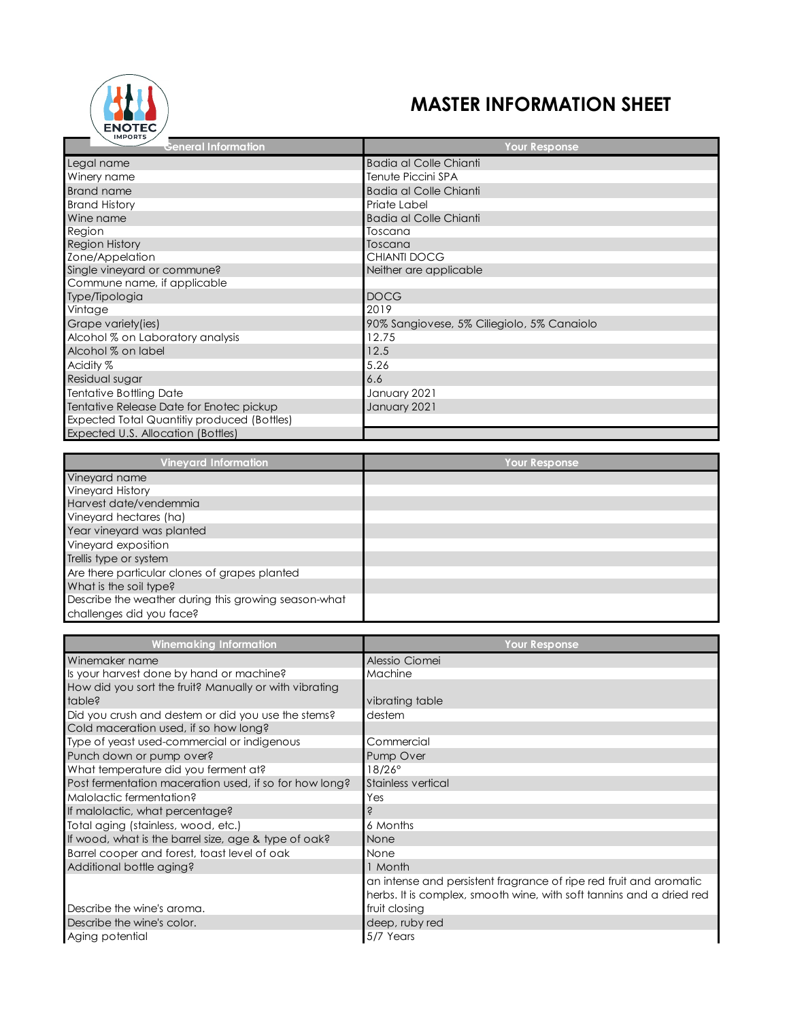

## **MASTER INFORMATION SHEET**

| <b>IMPORTS</b>                              |                                            |
|---------------------------------------------|--------------------------------------------|
| <b>General Information</b>                  | <b>Your Response</b>                       |
| Legal name                                  | <b>Badia al Colle Chianti</b>              |
| Winery name                                 | Tenute Piccini SPA                         |
| <b>Brand name</b>                           | Badia al Colle Chianti                     |
| <b>Brand History</b>                        | Priate Label                               |
| Wine name                                   | <b>Badia al Colle Chianti</b>              |
| Region                                      | Toscana                                    |
| <b>Region History</b>                       | Toscana                                    |
| Zone/Appelation                             | CHIANTI DOCG                               |
| Single vineyard or commune?                 | Neither are applicable                     |
| Commune name, if applicable                 |                                            |
| Type/Tipologia                              | <b>DOCG</b>                                |
| Vintage                                     | 2019                                       |
| Grape variety(ies)                          | 90% Sangiovese, 5% Ciliegiolo, 5% Canaiolo |
| Alcohol % on Laboratory analysis            | 12.75                                      |
| Alcohol % on label                          | 12.5                                       |
| Acidity %                                   | 5.26                                       |
| Residual sugar                              | 6.6                                        |
| <b>Tentative Bottling Date</b>              | January 2021                               |
| Tentative Release Date for Enotec pickup    | January 2021                               |
| Expected Total Quantitiy produced (Bottles) |                                            |
| Expected U.S. Allocation (Bottles)          |                                            |

| <b>Vineyard Information</b>                          | Your Response |
|------------------------------------------------------|---------------|
| Vineyard name                                        |               |
| <b>Vineyard History</b>                              |               |
| Harvest date/vendemmia                               |               |
| Vineyard hectares (ha)                               |               |
| Year vineyard was planted                            |               |
| Vineyard exposition                                  |               |
| Trellis type or system                               |               |
| Are there particular clones of grapes planted        |               |
| What is the soil type?                               |               |
| Describe the weather during this growing season-what |               |
| challenges did you face?                             |               |

| <b>Winemaking Information</b>                          | <b>Your Response</b>                                                 |
|--------------------------------------------------------|----------------------------------------------------------------------|
| Winemaker name                                         | Alessio Ciomei                                                       |
| Is your harvest done by hand or machine?               | Machine                                                              |
| How did you sort the fruit? Manually or with vibrating |                                                                      |
| table?                                                 | vibrating table                                                      |
| Did you crush and destem or did you use the stems?     | destem                                                               |
| Cold maceration used, if so how long?                  |                                                                      |
| Type of yeast used-commercial or indigenous            | Commercial                                                           |
| Punch down or pump over?                               | Pump Over                                                            |
| What temperature did you ferment at?                   | $18/26^\circ$                                                        |
| Post fermentation maceration used, if so for how long? | Stainless vertical                                                   |
| Malolactic fermentation?                               | Yes                                                                  |
| If malolactic, what percentage?                        | S                                                                    |
| Total aging (stainless, wood, etc.)                    | 6 Months                                                             |
| If wood, what is the barrel size, age & type of oak?   | None                                                                 |
| Barrel cooper and forest, toast level of oak           | None                                                                 |
| Additional bottle aging?                               | 1 Month                                                              |
|                                                        | an intense and persistent fragrance of ripe red fruit and aromatic   |
|                                                        | herbs. It is complex, smooth wine, with soft tannins and a dried red |
| Describe the wine's aroma.                             | fruit closing                                                        |
| Describe the wine's color.                             | deep, ruby red                                                       |
| Aging potential                                        | 5/7 Years                                                            |